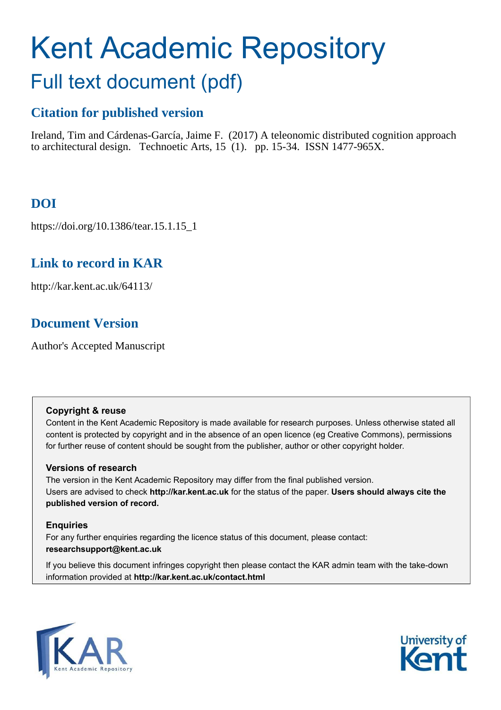# Kent Academic Repository Full text document (pdf)

## **Citation for published version**

Ireland, Tim and Cárdenas-García, Jaime F. (2017) A teleonomic distributed cognition approach to architectural design. Technoetic Arts, 15 (1). pp. 15-34. ISSN 1477-965X.

## **DOI**

https://doi.org/10.1386/tear.15.1.15\_1

## **Link to record in KAR**

http://kar.kent.ac.uk/64113/

## **Document Version**

Author's Accepted Manuscript

#### **Copyright & reuse**

Content in the Kent Academic Repository is made available for research purposes. Unless otherwise stated all content is protected by copyright and in the absence of an open licence (eg Creative Commons), permissions for further reuse of content should be sought from the publisher, author or other copyright holder.

#### **Versions of research**

The version in the Kent Academic Repository may differ from the final published version. Users are advised to check **http://kar.kent.ac.uk** for the status of the paper. **Users should always cite the published version of record.**

#### **Enquiries**

For any further enquiries regarding the licence status of this document, please contact: **researchsupport@kent.ac.uk**

If you believe this document infringes copyright then please contact the KAR admin team with the take-down information provided at **http://kar.kent.ac.uk/contact.html**



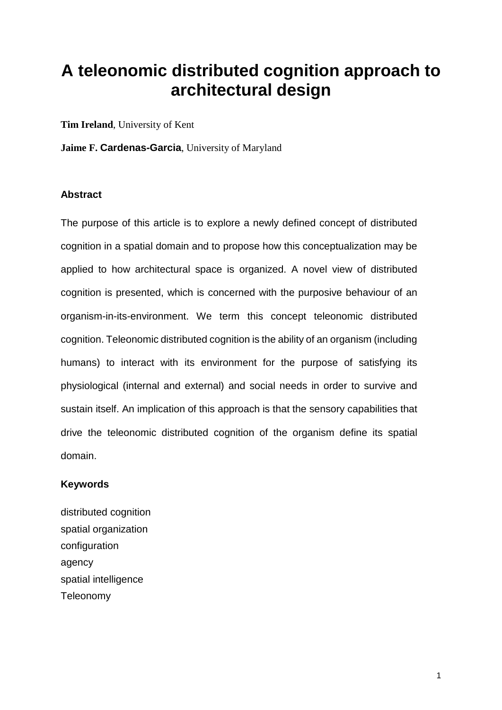## **A teleonomic distributed cognition approach to architectural design**

**Tim Ireland**, University of Kent

**Jaime F. Cardenas-Garcia**, University of Maryland

#### **Abstract**

The purpose of this article is to explore a newly defined concept of distributed cognition in a spatial domain and to propose how this conceptualization may be applied to how architectural space is organized. A novel view of distributed cognition is presented, which is concerned with the purposive behaviour of an organism-in-its-environment. We term this concept teleonomic distributed cognition. Teleonomic distributed cognition is the ability of an organism (including humans) to interact with its environment for the purpose of satisfying its physiological (internal and external) and social needs in order to survive and sustain itself. An implication of this approach is that the sensory capabilities that drive the teleonomic distributed cognition of the organism define its spatial domain.

#### **Keywords**

distributed cognition spatial organization configuration agency spatial intelligence Teleonomy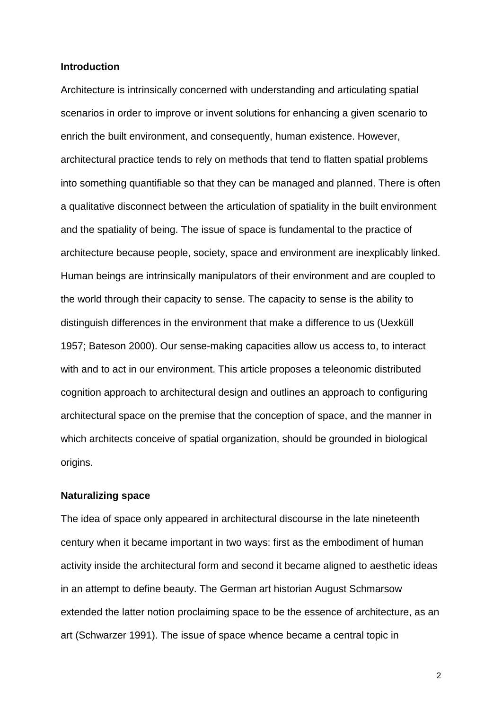#### **Introduction**

Architecture is intrinsically concerned with understanding and articulating spatial scenarios in order to improve or invent solutions for enhancing a given scenario to enrich the built environment, and consequently, human existence. However, architectural practice tends to rely on methods that tend to flatten spatial problems into something quantifiable so that they can be managed and planned. There is often a qualitative disconnect between the articulation of spatiality in the built environment and the spatiality of being. The issue of space is fundamental to the practice of architecture because people, society, space and environment are inexplicably linked. Human beings are intrinsically manipulators of their environment and are coupled to the world through their capacity to sense. The capacity to sense is the ability to distinguish differences in the environment that make a difference to us (Uexküll 1957; Bateson 2000). Our sense-making capacities allow us access to, to interact with and to act in our environment. This article proposes a teleonomic distributed cognition approach to architectural design and outlines an approach to configuring architectural space on the premise that the conception of space, and the manner in which architects conceive of spatial organization, should be grounded in biological origins.

#### **Naturalizing space**

The idea of space only appeared in architectural discourse in the late nineteenth century when it became important in two ways: first as the embodiment of human activity inside the architectural form and second it became aligned to aesthetic ideas in an attempt to define beauty. The German art historian August Schmarsow extended the latter notion proclaiming space to be the essence of architecture, as an art (Schwarzer 1991). The issue of space whence became a central topic in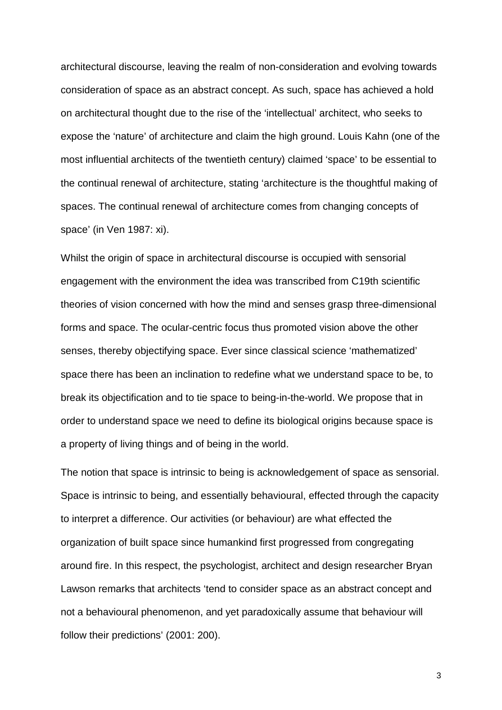architectural discourse, leaving the realm of non-consideration and evolving towards consideration of space as an abstract concept. As such, space has achieved a hold on architectural thought due to the rise of the 'intellectual' architect, who seeks to expose the 'nature' of architecture and claim the high ground. Louis Kahn (one of the most influential architects of the twentieth century) claimed 'space' to be essential to the continual renewal of architecture, stating 'architecture is the thoughtful making of spaces. The continual renewal of architecture comes from changing concepts of space' (in Ven 1987: xi).

Whilst the origin of space in architectural discourse is occupied with sensorial engagement with the environment the idea was transcribed from C19th scientific theories of vision concerned with how the mind and senses grasp three-dimensional forms and space. The ocular-centric focus thus promoted vision above the other senses, thereby objectifying space. Ever since classical science 'mathematized' space there has been an inclination to redefine what we understand space to be, to break its objectification and to tie space to being-in-the-world. We propose that in order to understand space we need to define its biological origins because space is a property of living things and of being in the world.

The notion that space is intrinsic to being is acknowledgement of space as sensorial. Space is intrinsic to being, and essentially behavioural, effected through the capacity to interpret a difference. Our activities (or behaviour) are what effected the organization of built space since humankind first progressed from congregating around fire. In this respect, the psychologist, architect and design researcher Bryan Lawson remarks that architects 'tend to consider space as an abstract concept and not a behavioural phenomenon, and yet paradoxically assume that behaviour will follow their predictions' (2001: 200).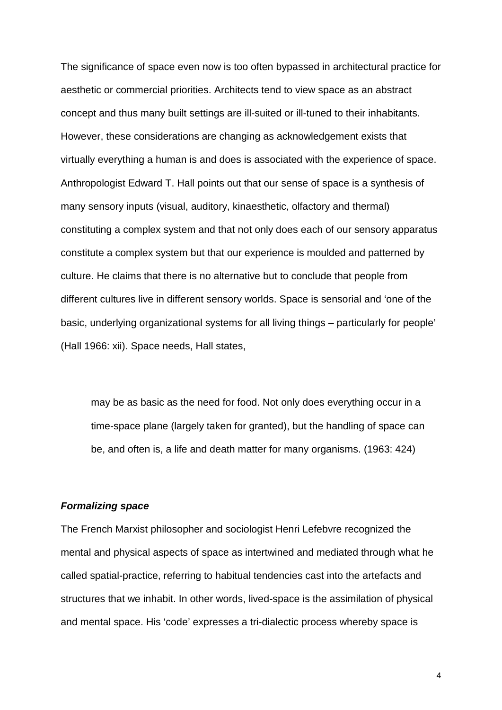The significance of space even now is too often bypassed in architectural practice for aesthetic or commercial priorities. Architects tend to view space as an abstract concept and thus many built settings are ill-suited or ill-tuned to their inhabitants. However, these considerations are changing as acknowledgement exists that virtually everything a human is and does is associated with the experience of space. Anthropologist Edward T. Hall points out that our sense of space is a synthesis of many sensory inputs (visual, auditory, kinaesthetic, olfactory and thermal) constituting a complex system and that not only does each of our sensory apparatus constitute a complex system but that our experience is moulded and patterned by culture. He claims that there is no alternative but to conclude that people from different cultures live in different sensory worlds. Space is sensorial and 'one of the basic, underlying organizational systems for all living things – particularly for people' (Hall 1966: xii). Space needs, Hall states,

may be as basic as the need for food. Not only does everything occur in a time-space plane (largely taken for granted), but the handling of space can be, and often is, a life and death matter for many organisms. (1963: 424)

#### **Formalizing space**

The French Marxist philosopher and sociologist Henri Lefebvre recognized the mental and physical aspects of space as intertwined and mediated through what he called spatial-practice, referring to habitual tendencies cast into the artefacts and structures that we inhabit. In other words, lived-space is the assimilation of physical and mental space. His 'code' expresses a tri-dialectic process whereby space is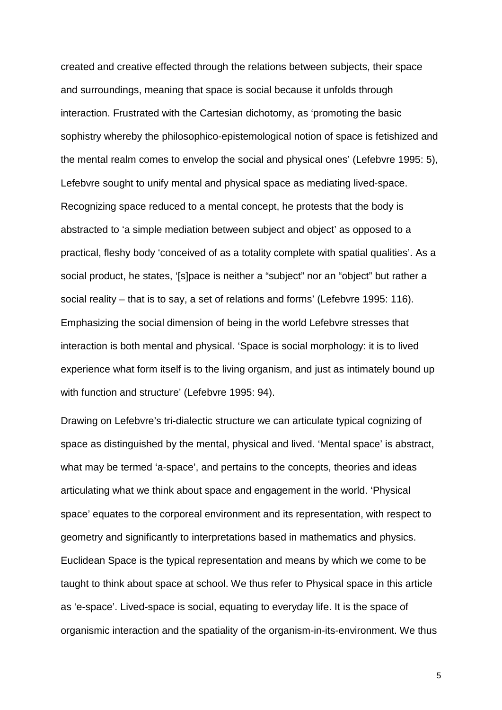created and creative effected through the relations between subjects, their space and surroundings, meaning that space is social because it unfolds through interaction. Frustrated with the Cartesian dichotomy, as 'promoting the basic sophistry whereby the philosophico-epistemological notion of space is fetishized and the mental realm comes to envelop the social and physical ones' (Lefebvre 1995: 5), Lefebvre sought to unify mental and physical space as mediating lived-space. Recognizing space reduced to a mental concept, he protests that the body is abstracted to 'a simple mediation between subject and object' as opposed to a practical, fleshy body 'conceived of as a totality complete with spatial qualities'. As a social product, he states, '[s]pace is neither a "subject" nor an "object" but rather a social reality – that is to say, a set of relations and forms' (Lefebvre 1995: 116). Emphasizing the social dimension of being in the world Lefebvre stresses that interaction is both mental and physical. 'Space is social morphology: it is to lived experience what form itself is to the living organism, and just as intimately bound up with function and structure' (Lefebvre 1995: 94).

Drawing on Lefebvre's tri-dialectic structure we can articulate typical cognizing of space as distinguished by the mental, physical and lived. 'Mental space' is abstract, what may be termed 'a-space', and pertains to the concepts, theories and ideas articulating what we think about space and engagement in the world. 'Physical space' equates to the corporeal environment and its representation, with respect to geometry and significantly to interpretations based in mathematics and physics. Euclidean Space is the typical representation and means by which we come to be taught to think about space at school. We thus refer to Physical space in this article as 'e-space'. Lived-space is social, equating to everyday life. It is the space of organismic interaction and the spatiality of the organism-in-its-environment. We thus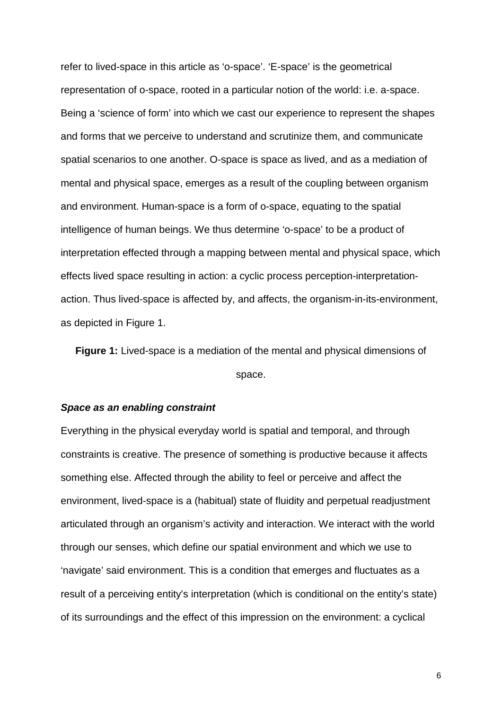refer to lived-space in this article as 'o-space'. 'E-space' is the geometrical representation of o-space, rooted in a particular notion of the world: i.e. a-space. Being a 'science of form' into which we cast our experience to represent the shapes and forms that we perceive to understand and scrutinize them, and communicate spatial scenarios to one another. O-space is space as lived, and as a mediation of mental and physical space, emerges as a result of the coupling between organism and environment. Human-space is a form of o-space, equating to the spatial intelligence of human beings. We thus determine 'o-space' to be a product of interpretation effected through a mapping between mental and physical space, which effects lived space resulting in action: a cyclic process perception-interpretationaction. Thus lived-space is affected by, and affects, the organism-in-its-environment, as depicted in Figure 1.

**Figure 1:** Lived-space is a mediation of the mental and physical dimensions of space.

#### **Space as an enabling constraint**

Everything in the physical everyday world is spatial and temporal, and through constraints is creative. The presence of something is productive because it affects something else. Affected through the ability to feel or perceive and affect the environment, lived-space is a (habitual) state of fluidity and perpetual readjustment articulated through an organism's activity and interaction. We interact with the world through our senses, which define our spatial environment and which we use to 'navigate' said environment. This is a condition that emerges and fluctuates as a result of a perceiving entity's interpretation (which is conditional on the entity's state) of its surroundings and the effect of this impression on the environment: a cyclical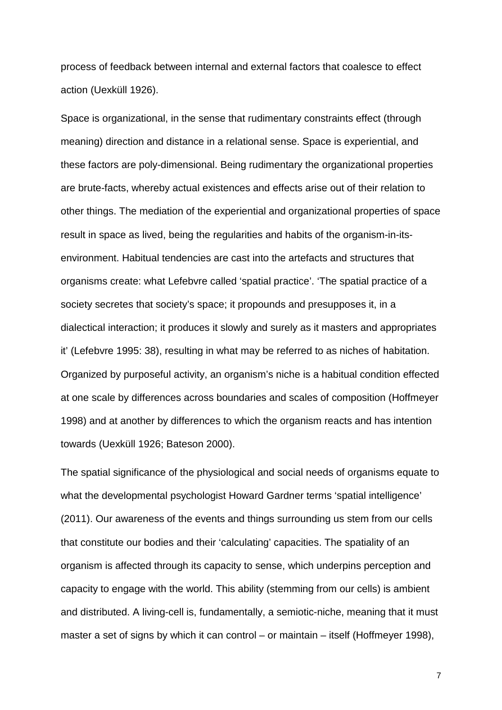process of feedback between internal and external factors that coalesce to effect action (Uexküll 1926).

Space is organizational, in the sense that rudimentary constraints effect (through meaning) direction and distance in a relational sense. Space is experiential, and these factors are poly-dimensional. Being rudimentary the organizational properties are brute-facts, whereby actual existences and effects arise out of their relation to other things. The mediation of the experiential and organizational properties of space result in space as lived, being the regularities and habits of the organism-in-itsenvironment. Habitual tendencies are cast into the artefacts and structures that organisms create: what Lefebvre called 'spatial practice'. 'The spatial practice of a society secretes that society's space; it propounds and presupposes it, in a dialectical interaction; it produces it slowly and surely as it masters and appropriates it' (Lefebvre 1995: 38), resulting in what may be referred to as niches of habitation. Organized by purposeful activity, an organism's niche is a habitual condition effected at one scale by differences across boundaries and scales of composition (Hoffmeyer 1998) and at another by differences to which the organism reacts and has intention towards (Uexküll 1926; Bateson 2000).

The spatial significance of the physiological and social needs of organisms equate to what the developmental psychologist Howard Gardner terms 'spatial intelligence' (2011). Our awareness of the events and things surrounding us stem from our cells that constitute our bodies and their 'calculating' capacities. The spatiality of an organism is affected through its capacity to sense, which underpins perception and capacity to engage with the world. This ability (stemming from our cells) is ambient and distributed. A living-cell is, fundamentally, a semiotic-niche, meaning that it must master a set of signs by which it can control – or maintain – itself (Hoffmeyer 1998),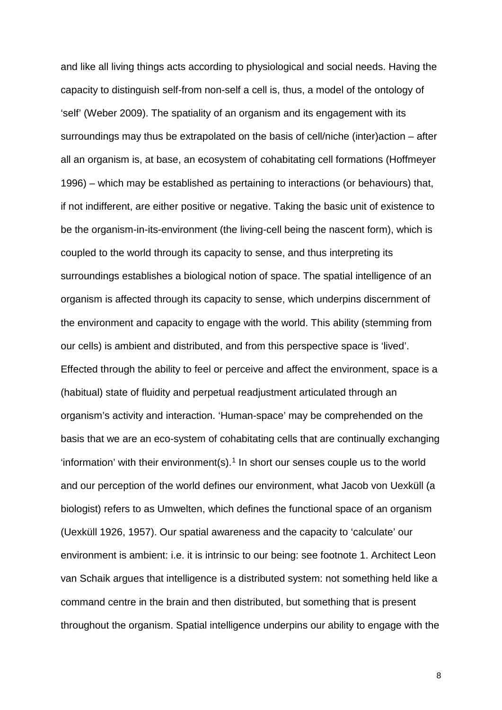and like all living things acts according to physiological and social needs. Having the capacity to distinguish self-from non-self a cell is, thus, a model of the ontology of 'self' (Weber 2009). The spatiality of an organism and its engagement with its surroundings may thus be extrapolated on the basis of cell/niche (inter)action – after all an organism is, at base, an ecosystem of cohabitating cell formations (Hoffmeyer 1996) – which may be established as pertaining to interactions (or behaviours) that, if not indifferent, are either positive or negative. Taking the basic unit of existence to be the organism-in-its-environment (the living-cell being the nascent form), which is coupled to the world through its capacity to sense, and thus interpreting its surroundings establishes a biological notion of space. The spatial intelligence of an organism is affected through its capacity to sense, which underpins discernment of the environment and capacity to engage with the world. This ability (stemming from our cells) is ambient and distributed, and from this perspective space is 'lived'. Effected through the ability to feel or perceive and affect the environment, space is a (habitual) state of fluidity and perpetual readjustment articulated through an organism's activity and interaction. 'Human-space' may be comprehended on the basis that we are an eco-system of cohabitating cells that are continually exchanging 'information' with their environment(s).<sup>[1](#page-33-0)</sup> In short our senses couple us to the world and our perception of the world defines our environment, what Jacob von Uexküll (a biologist) refers to as Umwelten, which defines the functional space of an organism (Uexküll 1926, 1957). Our spatial awareness and the capacity to 'calculate' our environment is ambient: i.e. it is intrinsic to our being: see footnote 1. Architect Leon van Schaik argues that intelligence is a distributed system: not something held like a command centre in the brain and then distributed, but something that is present throughout the organism. Spatial intelligence underpins our ability to engage with the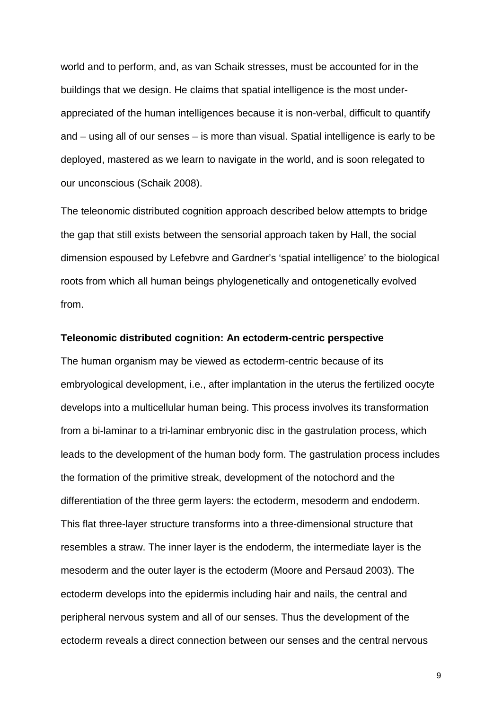world and to perform, and, as van Schaik stresses, must be accounted for in the buildings that we design. He claims that spatial intelligence is the most underappreciated of the human intelligences because it is non-verbal, difficult to quantify and – using all of our senses – is more than visual. Spatial intelligence is early to be deployed, mastered as we learn to navigate in the world, and is soon relegated to our unconscious (Schaik 2008).

The teleonomic distributed cognition approach described below attempts to bridge the gap that still exists between the sensorial approach taken by Hall, the social dimension espoused by Lefebvre and Gardner's 'spatial intelligence' to the biological roots from which all human beings phylogenetically and ontogenetically evolved from.

#### **Teleonomic distributed cognition: An ectoderm-centric perspective**

The human organism may be viewed as ectoderm-centric because of its embryological development, i.e., after implantation in the uterus the fertilized oocyte develops into a multicellular human being. This process involves its transformation from a bi-laminar to a tri-laminar embryonic disc in the gastrulation process, which leads to the development of the human body form. The gastrulation process includes the formation of the primitive streak, development of the notochord and the differentiation of the three germ layers: the ectoderm, mesoderm and endoderm. This flat three-layer structure transforms into a three-dimensional structure that resembles a straw. The inner layer is the endoderm, the intermediate layer is the mesoderm and the outer layer is the ectoderm (Moore and Persaud 2003). The ectoderm develops into the epidermis including hair and nails, the central and peripheral nervous system and all of our senses. Thus the development of the ectoderm reveals a direct connection between our senses and the central nervous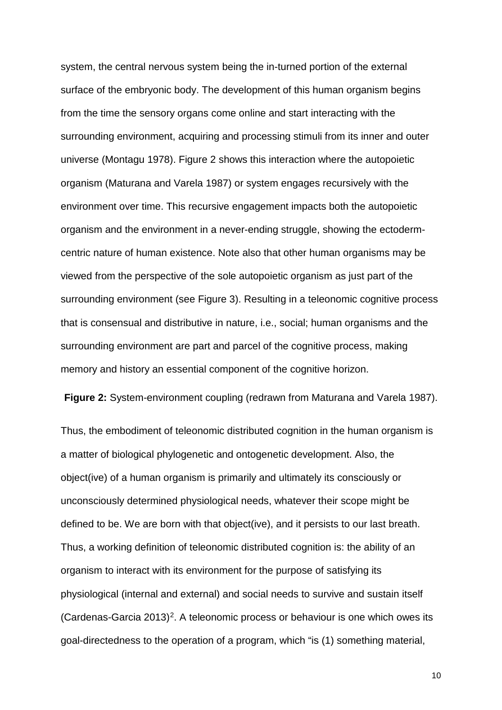system, the central nervous system being the in-turned portion of the external surface of the embryonic body. The development of this human organism begins from the time the sensory organs come online and start interacting with the surrounding environment, acquiring and processing stimuli from its inner and outer universe (Montagu 1978). Figure 2 shows this interaction where the autopoietic organism (Maturana and Varela 1987) or system engages recursively with the environment over time. This recursive engagement impacts both the autopoietic organism and the environment in a never-ending struggle, showing the ectodermcentric nature of human existence. Note also that other human organisms may be viewed from the perspective of the sole autopoietic organism as just part of the surrounding environment (see Figure 3). Resulting in a teleonomic cognitive process that is consensual and distributive in nature, i.e., social; human organisms and the surrounding environment are part and parcel of the cognitive process, making memory and history an essential component of the cognitive horizon.

**Figure 2:** System-environment coupling (redrawn from Maturana and Varela 1987).

Thus, the embodiment of teleonomic distributed cognition in the human organism is a matter of biological phylogenetic and ontogenetic development. Also, the object(ive) of a human organism is primarily and ultimately its consciously or unconsciously determined physiological needs, whatever their scope might be defined to be. We are born with that object(ive), and it persists to our last breath. Thus, a working definition of teleonomic distributed cognition is: the ability of an organism to interact with its environment for the purpose of satisfying its physiological (internal and external) and social needs to survive and sustain itself (Cardenas-Garcia [2](#page-33-1)013)<sup>2</sup>. A teleonomic process or behaviour is one which owes its goal-directedness to the operation of a program, which "is (1) something material,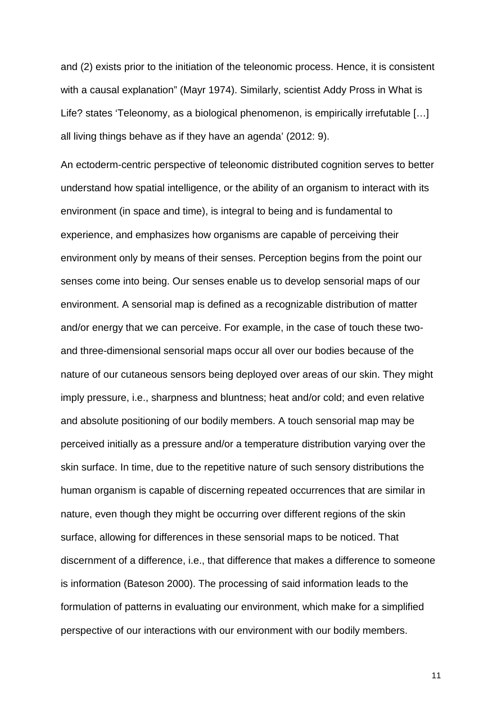and (2) exists prior to the initiation of the teleonomic process. Hence, it is consistent with a causal explanation" (Mayr 1974). Similarly, scientist Addy Pross in What is Life? states 'Teleonomy, as a biological phenomenon, is empirically irrefutable […] all living things behave as if they have an agenda' (2012: 9).

An ectoderm-centric perspective of teleonomic distributed cognition serves to better understand how spatial intelligence, or the ability of an organism to interact with its environment (in space and time), is integral to being and is fundamental to experience, and emphasizes how organisms are capable of perceiving their environment only by means of their senses. Perception begins from the point our senses come into being. Our senses enable us to develop sensorial maps of our environment. A sensorial map is defined as a recognizable distribution of matter and/or energy that we can perceive. For example, in the case of touch these twoand three-dimensional sensorial maps occur all over our bodies because of the nature of our cutaneous sensors being deployed over areas of our skin. They might imply pressure, i.e., sharpness and bluntness; heat and/or cold; and even relative and absolute positioning of our bodily members. A touch sensorial map may be perceived initially as a pressure and/or a temperature distribution varying over the skin surface. In time, due to the repetitive nature of such sensory distributions the human organism is capable of discerning repeated occurrences that are similar in nature, even though they might be occurring over different regions of the skin surface, allowing for differences in these sensorial maps to be noticed. That discernment of a difference, i.e., that difference that makes a difference to someone is information (Bateson 2000). The processing of said information leads to the formulation of patterns in evaluating our environment, which make for a simplified perspective of our interactions with our environment with our bodily members.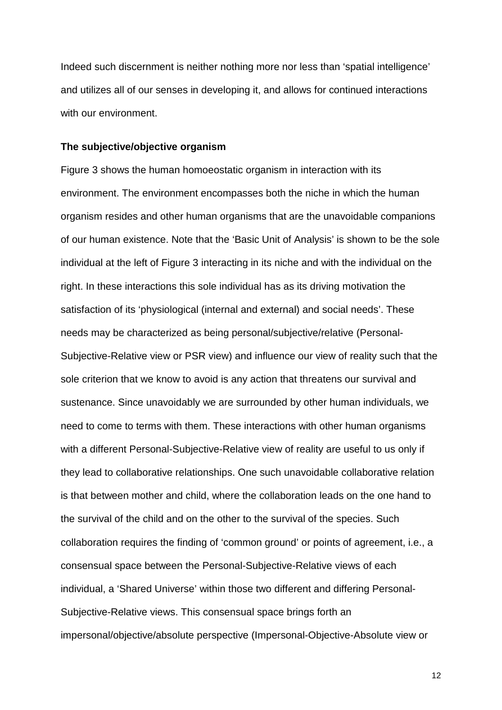Indeed such discernment is neither nothing more nor less than 'spatial intelligence' and utilizes all of our senses in developing it, and allows for continued interactions with our environment.

#### **The subjective/objective organism**

Figure 3 shows the human homoeostatic organism in interaction with its environment. The environment encompasses both the niche in which the human organism resides and other human organisms that are the unavoidable companions of our human existence. Note that the 'Basic Unit of Analysis' is shown to be the sole individual at the left of Figure 3 interacting in its niche and with the individual on the right. In these interactions this sole individual has as its driving motivation the satisfaction of its 'physiological (internal and external) and social needs'. These needs may be characterized as being personal/subjective/relative (Personal-Subjective-Relative view or PSR view) and influence our view of reality such that the sole criterion that we know to avoid is any action that threatens our survival and sustenance. Since unavoidably we are surrounded by other human individuals, we need to come to terms with them. These interactions with other human organisms with a different Personal-Subjective-Relative view of reality are useful to us only if they lead to collaborative relationships. One such unavoidable collaborative relation is that between mother and child, where the collaboration leads on the one hand to the survival of the child and on the other to the survival of the species. Such collaboration requires the finding of 'common ground' or points of agreement, i.e., a consensual space between the Personal-Subjective-Relative views of each individual, a 'Shared Universe' within those two different and differing Personal-Subjective-Relative views. This consensual space brings forth an impersonal/objective/absolute perspective (Impersonal-Objective-Absolute view or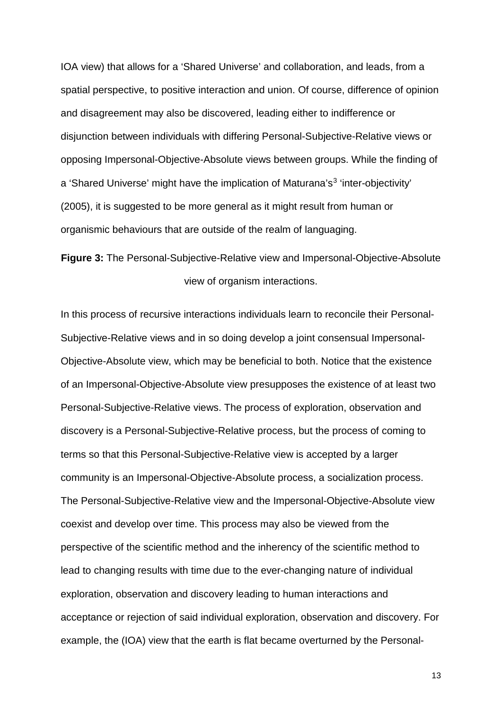IOA view) that allows for a 'Shared Universe' and collaboration, and leads, from a spatial perspective, to positive interaction and union. Of course, difference of opinion and disagreement may also be discovered, leading either to indifference or disjunction between individuals with differing Personal-Subjective-Relative views or opposing Impersonal-Objective-Absolute views between groups. While the finding of a 'Shared Universe' might have the implication of Maturana's<sup>[3](#page-34-0)</sup> 'inter-objectivity' (2005), it is suggested to be more general as it might result from human or organismic behaviours that are outside of the realm of languaging.

**Figure 3:** The Personal-Subjective-Relative view and Impersonal-Objective-Absolute view of organism interactions.

In this process of recursive interactions individuals learn to reconcile their Personal-Subjective-Relative views and in so doing develop a joint consensual Impersonal-Objective-Absolute view, which may be beneficial to both. Notice that the existence of an Impersonal-Objective-Absolute view presupposes the existence of at least two Personal-Subjective-Relative views. The process of exploration, observation and discovery is a Personal-Subjective-Relative process, but the process of coming to terms so that this Personal-Subjective-Relative view is accepted by a larger community is an Impersonal-Objective-Absolute process, a socialization process. The Personal-Subjective-Relative view and the Impersonal-Objective-Absolute view coexist and develop over time. This process may also be viewed from the perspective of the scientific method and the inherency of the scientific method to lead to changing results with time due to the ever-changing nature of individual exploration, observation and discovery leading to human interactions and acceptance or rejection of said individual exploration, observation and discovery. For example, the (IOA) view that the earth is flat became overturned by the Personal-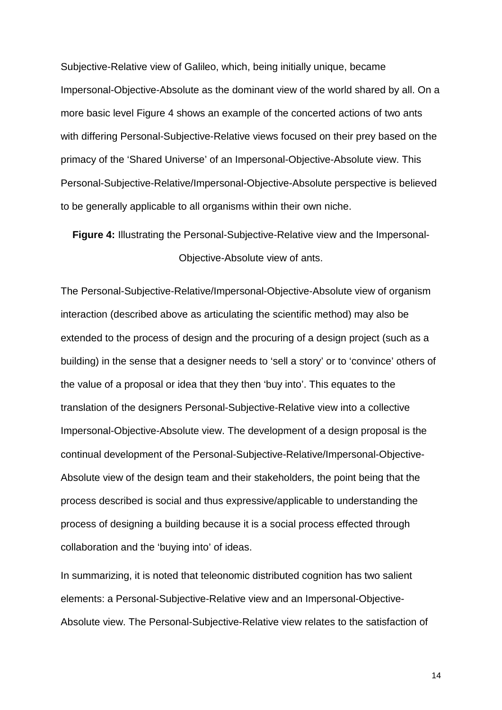Subjective-Relative view of Galileo, which, being initially unique, became Impersonal-Objective-Absolute as the dominant view of the world shared by all. On a more basic level Figure 4 shows an example of the concerted actions of two ants with differing Personal-Subjective-Relative views focused on their prey based on the primacy of the 'Shared Universe' of an Impersonal-Objective-Absolute view. This Personal-Subjective-Relative/Impersonal-Objective-Absolute perspective is believed to be generally applicable to all organisms within their own niche.

**Figure 4:** Illustrating the Personal-Subjective-Relative view and the Impersonal-Objective-Absolute view of ants.

The Personal-Subjective-Relative/Impersonal-Objective-Absolute view of organism interaction (described above as articulating the scientific method) may also be extended to the process of design and the procuring of a design project (such as a building) in the sense that a designer needs to 'sell a story' or to 'convince' others of the value of a proposal or idea that they then 'buy into'. This equates to the translation of the designers Personal-Subjective-Relative view into a collective Impersonal-Objective-Absolute view. The development of a design proposal is the continual development of the Personal-Subjective-Relative/Impersonal-Objective-Absolute view of the design team and their stakeholders, the point being that the process described is social and thus expressive/applicable to understanding the process of designing a building because it is a social process effected through collaboration and the 'buying into' of ideas.

In summarizing, it is noted that teleonomic distributed cognition has two salient elements: a Personal-Subjective-Relative view and an Impersonal-Objective-Absolute view. The Personal-Subjective-Relative view relates to the satisfaction of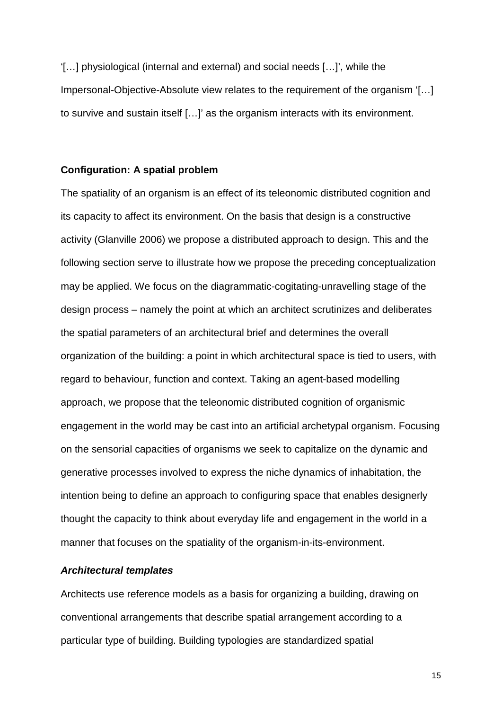'[…] physiological (internal and external) and social needs […]', while the Impersonal-Objective-Absolute view relates to the requirement of the organism '[…] to survive and sustain itself […]' as the organism interacts with its environment.

#### **Configuration: A spatial problem**

The spatiality of an organism is an effect of its teleonomic distributed cognition and its capacity to affect its environment. On the basis that design is a constructive activity (Glanville 2006) we propose a distributed approach to design. This and the following section serve to illustrate how we propose the preceding conceptualization may be applied. We focus on the diagrammatic-cogitating-unravelling stage of the design process – namely the point at which an architect scrutinizes and deliberates the spatial parameters of an architectural brief and determines the overall organization of the building: a point in which architectural space is tied to users, with regard to behaviour, function and context. Taking an agent-based modelling approach, we propose that the teleonomic distributed cognition of organismic engagement in the world may be cast into an artificial archetypal organism. Focusing on the sensorial capacities of organisms we seek to capitalize on the dynamic and generative processes involved to express the niche dynamics of inhabitation, the intention being to define an approach to configuring space that enables designerly thought the capacity to think about everyday life and engagement in the world in a manner that focuses on the spatiality of the organism-in-its-environment.

#### **Architectural templates**

Architects use reference models as a basis for organizing a building, drawing on conventional arrangements that describe spatial arrangement according to a particular type of building. Building typologies are standardized spatial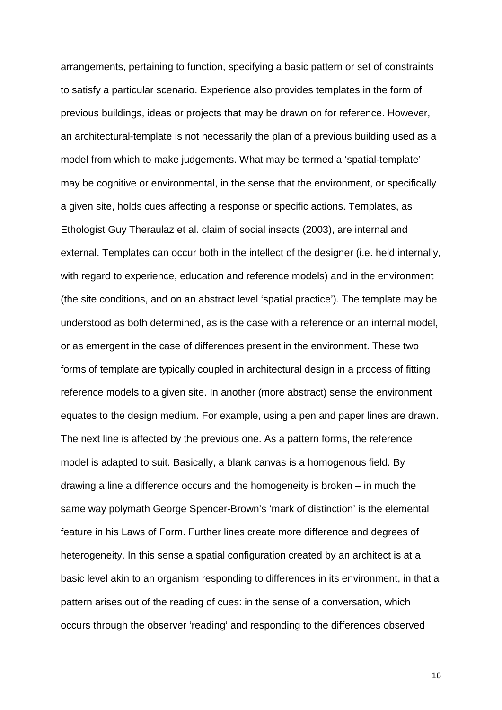arrangements, pertaining to function, specifying a basic pattern or set of constraints to satisfy a particular scenario. Experience also provides templates in the form of previous buildings, ideas or projects that may be drawn on for reference. However, an architectural-template is not necessarily the plan of a previous building used as a model from which to make judgements. What may be termed a 'spatial-template' may be cognitive or environmental, in the sense that the environment, or specifically a given site, holds cues affecting a response or specific actions. Templates, as Ethologist Guy Theraulaz et al. claim of social insects (2003), are internal and external. Templates can occur both in the intellect of the designer (i.e. held internally, with regard to experience, education and reference models) and in the environment (the site conditions, and on an abstract level 'spatial practice'). The template may be understood as both determined, as is the case with a reference or an internal model, or as emergent in the case of differences present in the environment. These two forms of template are typically coupled in architectural design in a process of fitting reference models to a given site. In another (more abstract) sense the environment equates to the design medium. For example, using a pen and paper lines are drawn. The next line is affected by the previous one. As a pattern forms, the reference model is adapted to suit. Basically, a blank canvas is a homogenous field. By drawing a line a difference occurs and the homogeneity is broken – in much the same way polymath George Spencer-Brown's 'mark of distinction' is the elemental feature in his Laws of Form. Further lines create more difference and degrees of heterogeneity. In this sense a spatial configuration created by an architect is at a basic level akin to an organism responding to differences in its environment, in that a pattern arises out of the reading of cues: in the sense of a conversation, which occurs through the observer 'reading' and responding to the differences observed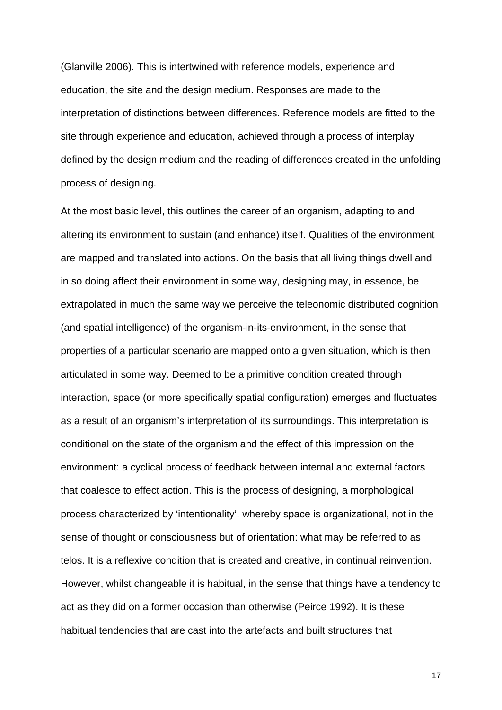(Glanville 2006). This is intertwined with reference models, experience and education, the site and the design medium. Responses are made to the interpretation of distinctions between differences. Reference models are fitted to the site through experience and education, achieved through a process of interplay defined by the design medium and the reading of differences created in the unfolding process of designing.

At the most basic level, this outlines the career of an organism, adapting to and altering its environment to sustain (and enhance) itself. Qualities of the environment are mapped and translated into actions. On the basis that all living things dwell and in so doing affect their environment in some way, designing may, in essence, be extrapolated in much the same way we perceive the teleonomic distributed cognition (and spatial intelligence) of the organism-in-its-environment, in the sense that properties of a particular scenario are mapped onto a given situation, which is then articulated in some way. Deemed to be a primitive condition created through interaction, space (or more specifically spatial configuration) emerges and fluctuates as a result of an organism's interpretation of its surroundings. This interpretation is conditional on the state of the organism and the effect of this impression on the environment: a cyclical process of feedback between internal and external factors that coalesce to effect action. This is the process of designing, a morphological process characterized by 'intentionality', whereby space is organizational, not in the sense of thought or consciousness but of orientation: what may be referred to as telos. It is a reflexive condition that is created and creative, in continual reinvention. However, whilst changeable it is habitual, in the sense that things have a tendency to act as they did on a former occasion than otherwise (Peirce 1992). It is these habitual tendencies that are cast into the artefacts and built structures that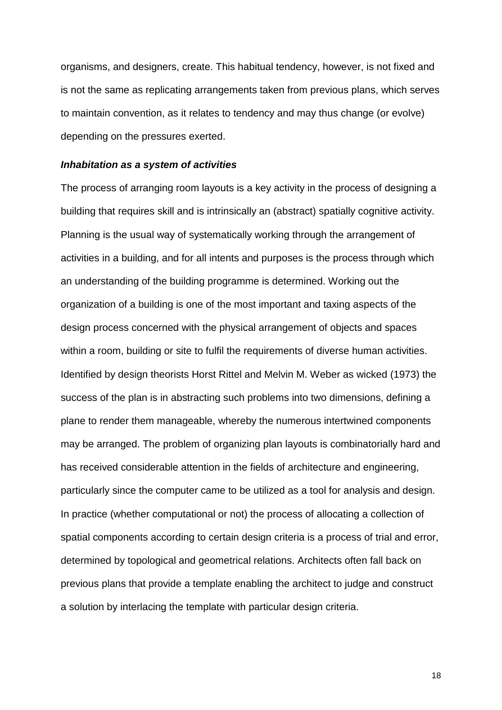organisms, and designers, create. This habitual tendency, however, is not fixed and is not the same as replicating arrangements taken from previous plans, which serves to maintain convention, as it relates to tendency and may thus change (or evolve) depending on the pressures exerted.

#### **Inhabitation as a system of activities**

The process of arranging room layouts is a key activity in the process of designing a building that requires skill and is intrinsically an (abstract) spatially cognitive activity. Planning is the usual way of systematically working through the arrangement of activities in a building, and for all intents and purposes is the process through which an understanding of the building programme is determined. Working out the organization of a building is one of the most important and taxing aspects of the design process concerned with the physical arrangement of objects and spaces within a room, building or site to fulfil the requirements of diverse human activities. Identified by design theorists Horst Rittel and Melvin M. Weber as wicked (1973) the success of the plan is in abstracting such problems into two dimensions, defining a plane to render them manageable, whereby the numerous intertwined components may be arranged. The problem of organizing plan layouts is combinatorially hard and has received considerable attention in the fields of architecture and engineering, particularly since the computer came to be utilized as a tool for analysis and design. In practice (whether computational or not) the process of allocating a collection of spatial components according to certain design criteria is a process of trial and error, determined by topological and geometrical relations. Architects often fall back on previous plans that provide a template enabling the architect to judge and construct a solution by interlacing the template with particular design criteria.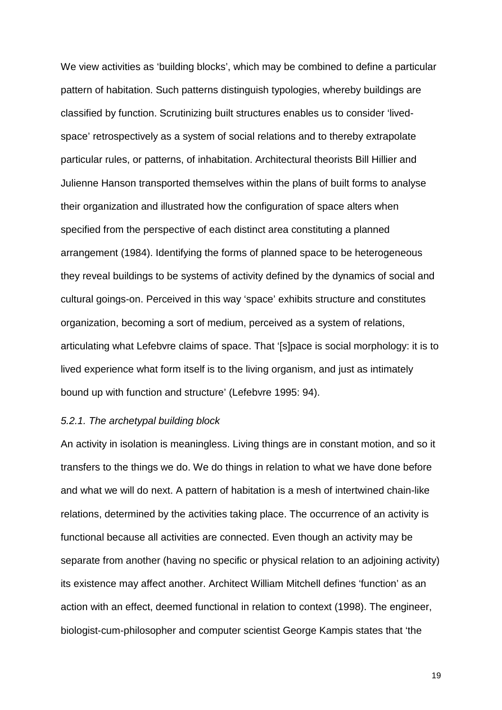We view activities as 'building blocks', which may be combined to define a particular pattern of habitation. Such patterns distinguish typologies, whereby buildings are classified by function. Scrutinizing built structures enables us to consider 'livedspace' retrospectively as a system of social relations and to thereby extrapolate particular rules, or patterns, of inhabitation. Architectural theorists Bill Hillier and Julienne Hanson transported themselves within the plans of built forms to analyse their organization and illustrated how the configuration of space alters when specified from the perspective of each distinct area constituting a planned arrangement (1984). Identifying the forms of planned space to be heterogeneous they reveal buildings to be systems of activity defined by the dynamics of social and cultural goings-on. Perceived in this way 'space' exhibits structure and constitutes organization, becoming a sort of medium, perceived as a system of relations, articulating what Lefebvre claims of space. That '[s]pace is social morphology: it is to lived experience what form itself is to the living organism, and just as intimately bound up with function and structure' (Lefebvre 1995: 94).

#### 5.2.1. The archetypal building block

An activity in isolation is meaningless. Living things are in constant motion, and so it transfers to the things we do. We do things in relation to what we have done before and what we will do next. A pattern of habitation is a mesh of intertwined chain-like relations, determined by the activities taking place. The occurrence of an activity is functional because all activities are connected. Even though an activity may be separate from another (having no specific or physical relation to an adjoining activity) its existence may affect another. Architect William Mitchell defines 'function' as an action with an effect, deemed functional in relation to context (1998). The engineer, biologist-cum-philosopher and computer scientist George Kampis states that 'the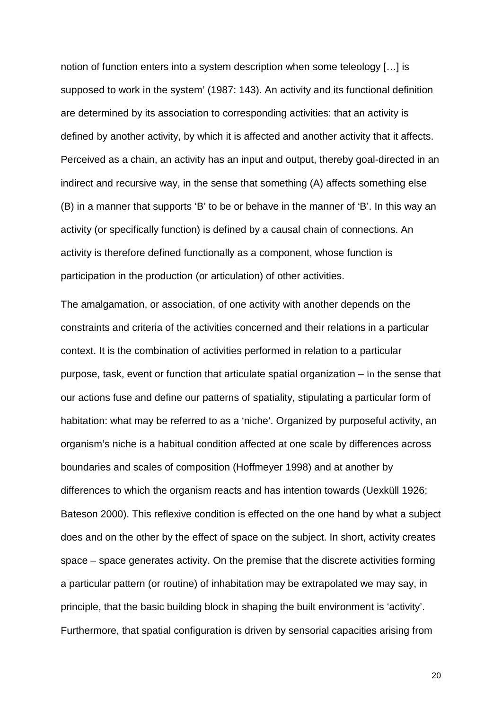notion of function enters into a system description when some teleology […] is supposed to work in the system' (1987: 143). An activity and its functional definition are determined by its association to corresponding activities: that an activity is defined by another activity, by which it is affected and another activity that it affects. Perceived as a chain, an activity has an input and output, thereby goal-directed in an indirect and recursive way, in the sense that something (A) affects something else (B) in a manner that supports 'B' to be or behave in the manner of 'B'. In this way an activity (or specifically function) is defined by a causal chain of connections. An activity is therefore defined functionally as a component, whose function is participation in the production (or articulation) of other activities.

The amalgamation, or association, of one activity with another depends on the constraints and criteria of the activities concerned and their relations in a particular context. It is the combination of activities performed in relation to a particular purpose, task, event or function that articulate spatial organization – in the sense that our actions fuse and define our patterns of spatiality, stipulating a particular form of habitation: what may be referred to as a 'niche'. Organized by purposeful activity, an organism's niche is a habitual condition affected at one scale by differences across boundaries and scales of composition (Hoffmeyer 1998) and at another by differences to which the organism reacts and has intention towards (Uexküll 1926; Bateson 2000). This reflexive condition is effected on the one hand by what a subject does and on the other by the effect of space on the subject. In short, activity creates space – space generates activity. On the premise that the discrete activities forming a particular pattern (or routine) of inhabitation may be extrapolated we may say, in principle, that the basic building block in shaping the built environment is 'activity'. Furthermore, that spatial configuration is driven by sensorial capacities arising from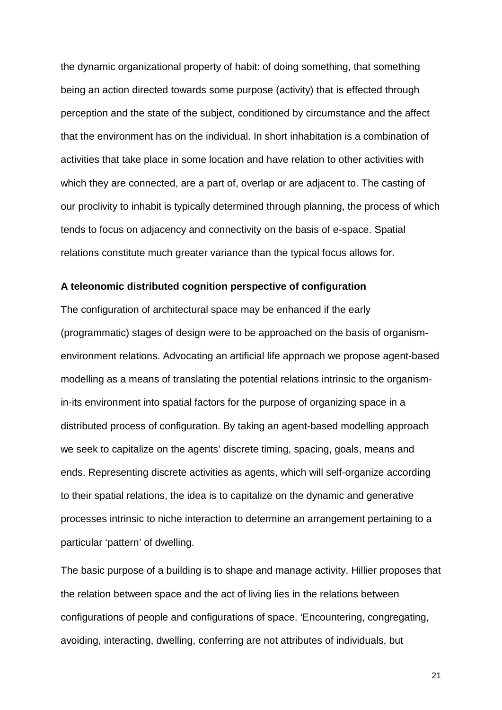the dynamic organizational property of habit: of doing something, that something being an action directed towards some purpose (activity) that is effected through perception and the state of the subject, conditioned by circumstance and the affect that the environment has on the individual. In short inhabitation is a combination of activities that take place in some location and have relation to other activities with which they are connected, are a part of, overlap or are adjacent to. The casting of our proclivity to inhabit is typically determined through planning, the process of which tends to focus on adjacency and connectivity on the basis of e-space. Spatial relations constitute much greater variance than the typical focus allows for.

#### **A teleonomic distributed cognition perspective of configuration**

The configuration of architectural space may be enhanced if the early (programmatic) stages of design were to be approached on the basis of organismenvironment relations. Advocating an artificial life approach we propose agent-based modelling as a means of translating the potential relations intrinsic to the organismin-its environment into spatial factors for the purpose of organizing space in a distributed process of configuration. By taking an agent-based modelling approach we seek to capitalize on the agents' discrete timing, spacing, goals, means and ends. Representing discrete activities as agents, which will self-organize according to their spatial relations, the idea is to capitalize on the dynamic and generative processes intrinsic to niche interaction to determine an arrangement pertaining to a particular 'pattern' of dwelling.

The basic purpose of a building is to shape and manage activity. Hillier proposes that the relation between space and the act of living lies in the relations between configurations of people and configurations of space. 'Encountering, congregating, avoiding, interacting, dwelling, conferring are not attributes of individuals, but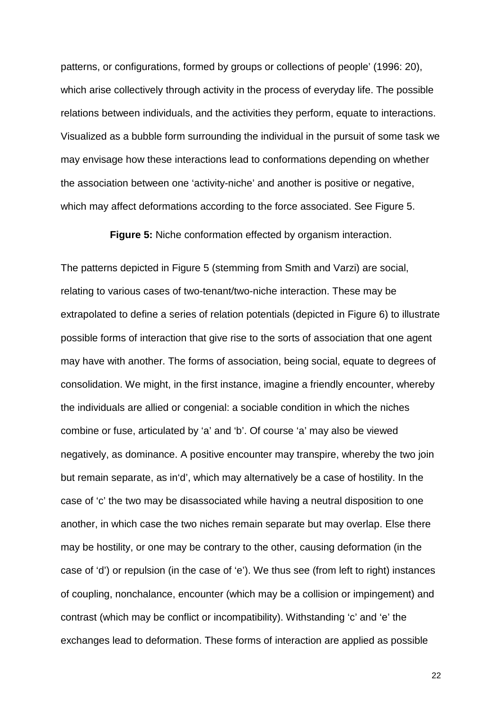patterns, or configurations, formed by groups or collections of people' (1996: 20), which arise collectively through activity in the process of everyday life. The possible relations between individuals, and the activities they perform, equate to interactions. Visualized as a bubble form surrounding the individual in the pursuit of some task we may envisage how these interactions lead to conformations depending on whether the association between one 'activity-niche' and another is positive or negative, which may affect deformations according to the force associated. See Figure 5.

**Figure 5:** Niche conformation effected by organism interaction.

The patterns depicted in Figure 5 (stemming from Smith and Varzi) are social, relating to various cases of two-tenant/two-niche interaction. These may be extrapolated to define a series of relation potentials (depicted in Figure 6) to illustrate possible forms of interaction that give rise to the sorts of association that one agent may have with another. The forms of association, being social, equate to degrees of consolidation. We might, in the first instance, imagine a friendly encounter, whereby the individuals are allied or congenial: a sociable condition in which the niches combine or fuse, articulated by 'a' and 'b'. Of course 'a' may also be viewed negatively, as dominance. A positive encounter may transpire, whereby the two join but remain separate, as in'd', which may alternatively be a case of hostility. In the case of 'c' the two may be disassociated while having a neutral disposition to one another, in which case the two niches remain separate but may overlap. Else there may be hostility, or one may be contrary to the other, causing deformation (in the case of 'd') or repulsion (in the case of 'e'). We thus see (from left to right) instances of coupling, nonchalance, encounter (which may be a collision or impingement) and contrast (which may be conflict or incompatibility). Withstanding 'c' and 'e' the exchanges lead to deformation. These forms of interaction are applied as possible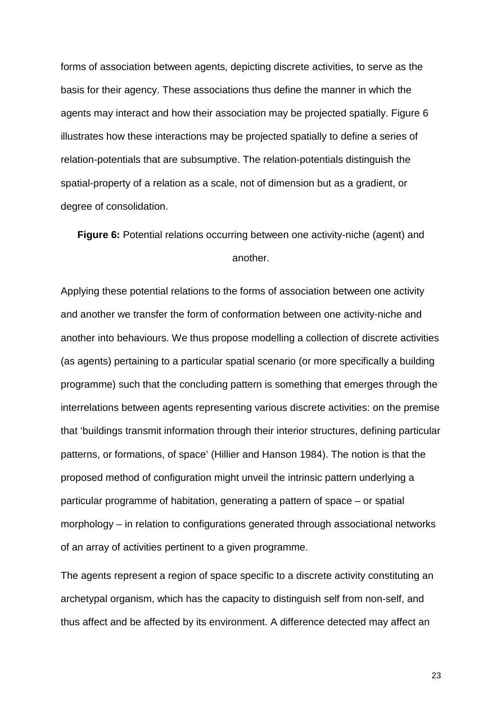forms of association between agents, depicting discrete activities, to serve as the basis for their agency. These associations thus define the manner in which the agents may interact and how their association may be projected spatially. Figure 6 illustrates how these interactions may be projected spatially to define a series of relation-potentials that are subsumptive. The relation-potentials distinguish the spatial-property of a relation as a scale, not of dimension but as a gradient, or degree of consolidation.

**Figure 6:** Potential relations occurring between one activity-niche (agent) and another.

Applying these potential relations to the forms of association between one activity and another we transfer the form of conformation between one activity-niche and another into behaviours. We thus propose modelling a collection of discrete activities (as agents) pertaining to a particular spatial scenario (or more specifically a building programme) such that the concluding pattern is something that emerges through the interrelations between agents representing various discrete activities: on the premise that 'buildings transmit information through their interior structures, defining particular patterns, or formations, of space' (Hillier and Hanson 1984). The notion is that the proposed method of configuration might unveil the intrinsic pattern underlying a particular programme of habitation, generating a pattern of space – or spatial morphology – in relation to configurations generated through associational networks of an array of activities pertinent to a given programme.

The agents represent a region of space specific to a discrete activity constituting an archetypal organism, which has the capacity to distinguish self from non-self, and thus affect and be affected by its environment. A difference detected may affect an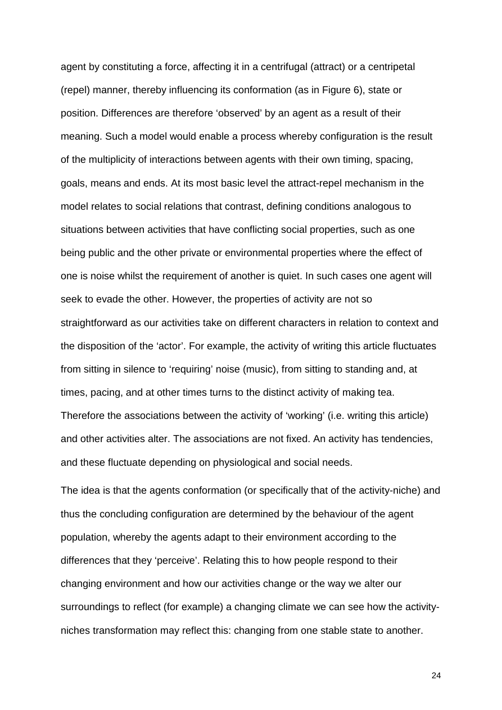agent by constituting a force, affecting it in a centrifugal (attract) or a centripetal (repel) manner, thereby influencing its conformation (as in Figure 6), state or position. Differences are therefore 'observed' by an agent as a result of their meaning. Such a model would enable a process whereby configuration is the result of the multiplicity of interactions between agents with their own timing, spacing, goals, means and ends. At its most basic level the attract-repel mechanism in the model relates to social relations that contrast, defining conditions analogous to situations between activities that have conflicting social properties, such as one being public and the other private or environmental properties where the effect of one is noise whilst the requirement of another is quiet. In such cases one agent will seek to evade the other. However, the properties of activity are not so straightforward as our activities take on different characters in relation to context and the disposition of the 'actor'. For example, the activity of writing this article fluctuates from sitting in silence to 'requiring' noise (music), from sitting to standing and, at times, pacing, and at other times turns to the distinct activity of making tea. Therefore the associations between the activity of 'working' (i.e. writing this article) and other activities alter. The associations are not fixed. An activity has tendencies, and these fluctuate depending on physiological and social needs.

The idea is that the agents conformation (or specifically that of the activity-niche) and thus the concluding configuration are determined by the behaviour of the agent population, whereby the agents adapt to their environment according to the differences that they 'perceive'. Relating this to how people respond to their changing environment and how our activities change or the way we alter our surroundings to reflect (for example) a changing climate we can see how the activityniches transformation may reflect this: changing from one stable state to another.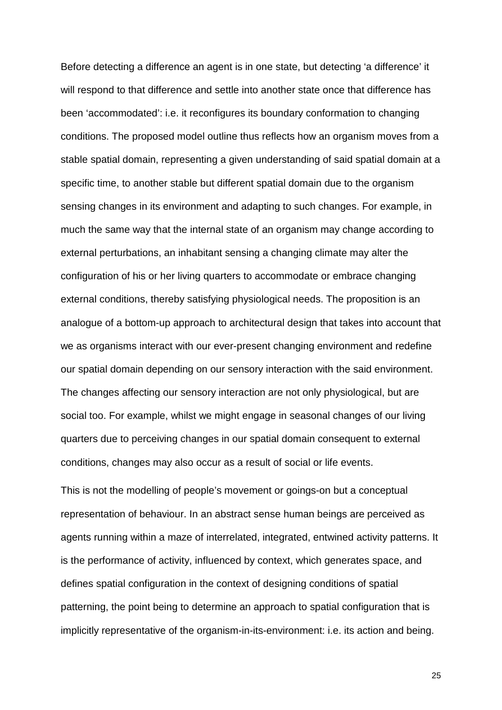Before detecting a difference an agent is in one state, but detecting 'a difference' it will respond to that difference and settle into another state once that difference has been 'accommodated': i.e. it reconfigures its boundary conformation to changing conditions. The proposed model outline thus reflects how an organism moves from a stable spatial domain, representing a given understanding of said spatial domain at a specific time, to another stable but different spatial domain due to the organism sensing changes in its environment and adapting to such changes. For example, in much the same way that the internal state of an organism may change according to external perturbations, an inhabitant sensing a changing climate may alter the configuration of his or her living quarters to accommodate or embrace changing external conditions, thereby satisfying physiological needs. The proposition is an analogue of a bottom-up approach to architectural design that takes into account that we as organisms interact with our ever-present changing environment and redefine our spatial domain depending on our sensory interaction with the said environment. The changes affecting our sensory interaction are not only physiological, but are social too. For example, whilst we might engage in seasonal changes of our living quarters due to perceiving changes in our spatial domain consequent to external conditions, changes may also occur as a result of social or life events.

This is not the modelling of people's movement or goings-on but a conceptual representation of behaviour. In an abstract sense human beings are perceived as agents running within a maze of interrelated, integrated, entwined activity patterns. It is the performance of activity, influenced by context, which generates space, and defines spatial configuration in the context of designing conditions of spatial patterning, the point being to determine an approach to spatial configuration that is implicitly representative of the organism-in-its-environment: i.e. its action and being.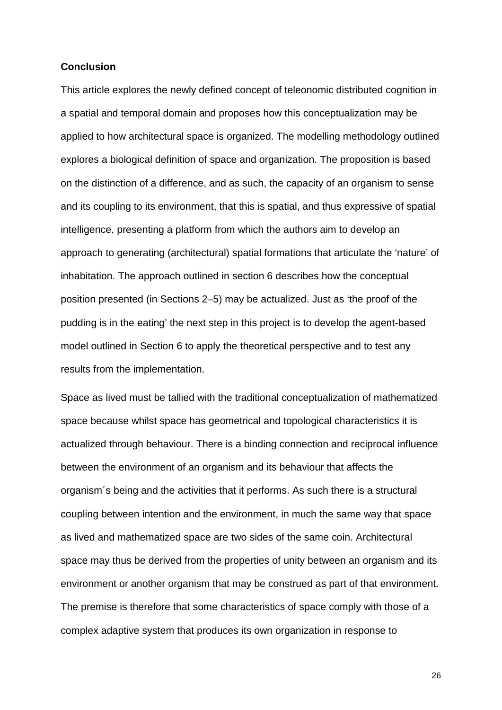#### **Conclusion**

This article explores the newly defined concept of teleonomic distributed cognition in a spatial and temporal domain and proposes how this conceptualization may be applied to how architectural space is organized. The modelling methodology outlined explores a biological definition of space and organization. The proposition is based on the distinction of a difference, and as such, the capacity of an organism to sense and its coupling to its environment, that this is spatial, and thus expressive of spatial intelligence, presenting a platform from which the authors aim to develop an approach to generating (architectural) spatial formations that articulate the 'nature' of inhabitation. The approach outlined in section 6 describes how the conceptual position presented (in Sections 2–5) may be actualized. Just as 'the proof of the pudding is in the eating' the next step in this project is to develop the agent-based model outlined in Section 6 to apply the theoretical perspective and to test any results from the implementation.

Space as lived must be tallied with the traditional conceptualization of mathematized space because whilst space has geometrical and topological characteristics it is actualized through behaviour. There is a binding connection and reciprocal influence between the environment of an organism and its behaviour that affects the organism´s being and the activities that it performs. As such there is a structural coupling between intention and the environment, in much the same way that space as lived and mathematized space are two sides of the same coin. Architectural space may thus be derived from the properties of unity between an organism and its environment or another organism that may be construed as part of that environment. The premise is therefore that some characteristics of space comply with those of a complex adaptive system that produces its own organization in response to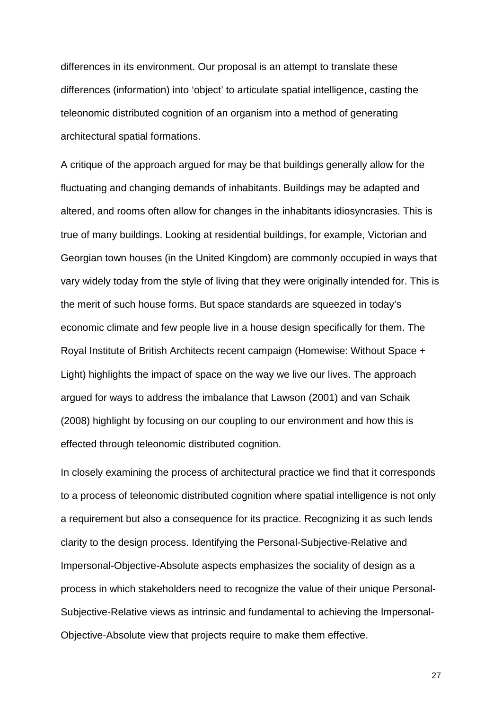differences in its environment. Our proposal is an attempt to translate these differences (information) into 'object' to articulate spatial intelligence, casting the teleonomic distributed cognition of an organism into a method of generating architectural spatial formations.

A critique of the approach argued for may be that buildings generally allow for the fluctuating and changing demands of inhabitants. Buildings may be adapted and altered, and rooms often allow for changes in the inhabitants idiosyncrasies. This is true of many buildings. Looking at residential buildings, for example, Victorian and Georgian town houses (in the United Kingdom) are commonly occupied in ways that vary widely today from the style of living that they were originally intended for. This is the merit of such house forms. But space standards are squeezed in today's economic climate and few people live in a house design specifically for them. The Royal Institute of British Architects recent campaign (Homewise: Without Space + Light) highlights the impact of space on the way we live our lives. The approach argued for ways to address the imbalance that Lawson (2001) and van Schaik (2008) highlight by focusing on our coupling to our environment and how this is effected through teleonomic distributed cognition.

In closely examining the process of architectural practice we find that it corresponds to a process of teleonomic distributed cognition where spatial intelligence is not only a requirement but also a consequence for its practice. Recognizing it as such lends clarity to the design process. Identifying the Personal-Subjective-Relative and Impersonal-Objective-Absolute aspects emphasizes the sociality of design as a process in which stakeholders need to recognize the value of their unique Personal-Subjective-Relative views as intrinsic and fundamental to achieving the Impersonal-Objective-Absolute view that projects require to make them effective.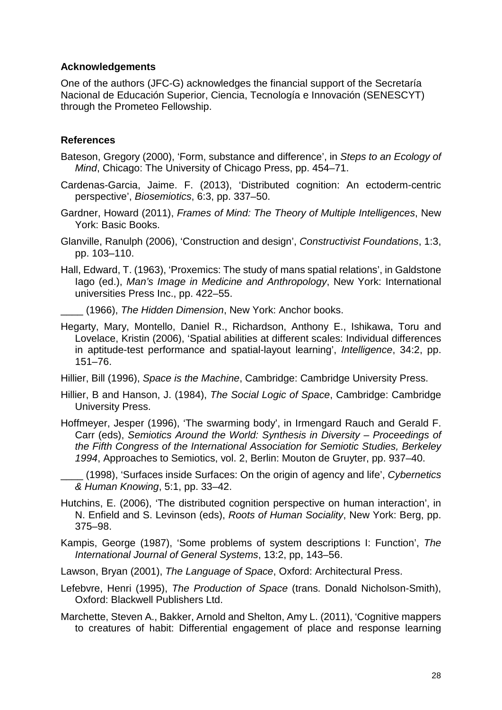#### **Acknowledgements**

One of the authors (JFC-G) acknowledges the financial support of the Secretaría Nacional de Educación Superior, Ciencia, Tecnología e Innovación (SENESCYT) through the Prometeo Fellowship.

#### **References**

- Bateson, Gregory (2000), 'Form, substance and difference', in Steps to an Ecology of Mind, Chicago: The University of Chicago Press, pp. 454–71.
- Cardenas-Garcia, Jaime. F. (2013), 'Distributed cognition: An ectoderm-centric perspective', Biosemiotics, 6:3, pp. 337–50.
- Gardner, Howard (2011), Frames of Mind: The Theory of Multiple Intelligences, New York: Basic Books.
- Glanville, Ranulph (2006), 'Construction and design', Constructivist Foundations, 1:3, pp. 103–110.
- Hall, Edward, T. (1963), 'Proxemics: The study of mans spatial relations', in Galdstone Iago (ed.), Man's Image in Medicine and Anthropology, New York: International universities Press Inc., pp. 422–55.
	- (1966), The Hidden Dimension, New York: Anchor books.
- Hegarty, Mary, Montello, Daniel R., Richardson, Anthony E., Ishikawa, Toru and Lovelace, Kristin (2006), 'Spatial abilities at different scales: Individual differences in aptitude-test performance and spatial-layout learning', Intelligence, 34:2, pp. 151–76.
- Hillier, Bill (1996), Space is the Machine, Cambridge: Cambridge University Press.
- Hillier, B and Hanson, J. (1984), The Social Logic of Space, Cambridge: Cambridge University Press.
- Hoffmeyer, Jesper (1996), 'The swarming body', in Irmengard Rauch and Gerald F. Carr (eds), Semiotics Around the World: Synthesis in Diversity – Proceedings of the Fifth Congress of the International Association for Semiotic Studies, Berkeley 1994, Approaches to Semiotics, vol. 2, Berlin: Mouton de Gruyter, pp. 937–40.
- (1998), 'Surfaces inside Surfaces: On the origin of agency and life', Cybernetics & Human Knowing, 5:1, pp. 33–42.
- Hutchins, E. (2006), 'The distributed cognition perspective on human interaction', in N. Enfield and S. Levinson (eds), Roots of Human Sociality, New York: Berg, pp. 375–98.
- Kampis, George (1987), 'Some problems of system descriptions I: Function', The International Journal of General Systems, 13:2, pp, 143–56.
- Lawson, Bryan (2001), The Language of Space, Oxford: Architectural Press.
- Lefebvre, Henri (1995), The Production of Space (trans. Donald Nicholson-Smith), Oxford: Blackwell Publishers Ltd.
- Marchette, Steven A., Bakker, Arnold and Shelton, Amy L. (2011), 'Cognitive mappers to creatures of habit: Differential engagement of place and response learning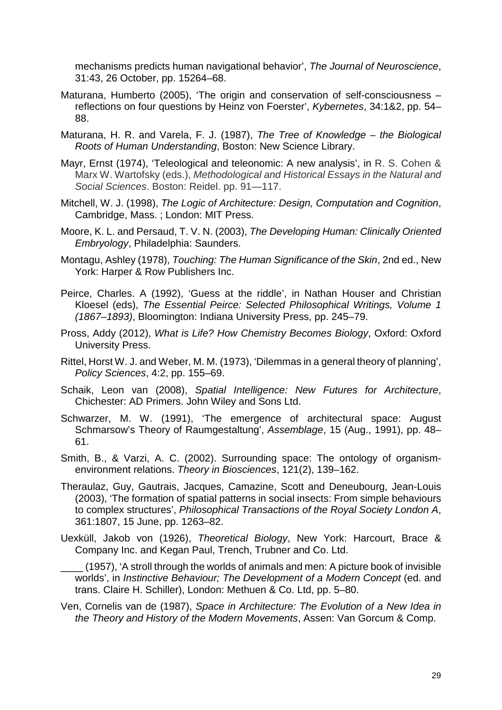mechanisms predicts human navigational behavior', The Journal of Neuroscience, 31:43, 26 October, pp. 15264–68.

- Maturana, Humberto (2005), 'The origin and conservation of self-consciousness reflections on four questions by Heinz von Foerster', Kybernetes, 34:1&2, pp. 54– 88.
- Maturana, H. R. and Varela, F. J. (1987), The Tree of Knowledge the Biological Roots of Human Understanding, Boston: New Science Library.
- Mayr, Ernst (1974), 'Teleological and teleonomic: A new analysis', in R. S. Cohen & Marx W. Wartofsky (eds.), Methodological and Historical Essays in the Natural and Social Sciences. Boston: Reidel. pp. 91—117.
- Mitchell, W. J. (1998), The Logic of Architecture: Design, Computation and Cognition, Cambridge, Mass. ; London: MIT Press.
- Moore, K. L. and Persaud, T. V. N. (2003), The Developing Human: Clinically Oriented Embryology, Philadelphia: Saunders.
- Montagu, Ashley (1978), Touching: The Human Significance of the Skin, 2nd ed., New York: Harper & Row Publishers Inc.
- Peirce, Charles. A (1992), 'Guess at the riddle', in Nathan Houser and Christian Kloesel (eds), The Essential Peirce: Selected Philosophical Writings, Volume 1 (1867–1893), Bloomington: Indiana University Press, pp. 245–79.
- Pross, Addy (2012), What is Life? How Chemistry Becomes Biology, Oxford: Oxford University Press.
- Rittel, Horst W. J. and Weber, M. M. (1973), 'Dilemmas in a general theory of planning', Policy Sciences, 4:2, pp. 155–69.
- Schaik, Leon van (2008), Spatial Intelligence: New Futures for Architecture, Chichester: AD Primers. John Wiley and Sons Ltd.
- Schwarzer, M. W. (1991), 'The emergence of architectural space: August Schmarsow's Theory of Raumgestaltung', Assemblage, 15 (Aug., 1991), pp. 48– 61.
- Smith, B., & Varzi, A. C. (2002). Surrounding space: The ontology of organismenvironment relations. Theory in Biosciences, 121(2), 139–162.
- Theraulaz, Guy, Gautrais, Jacques, Camazine, Scott and Deneubourg, Jean-Louis (2003), 'The formation of spatial patterns in social insects: From simple behaviours to complex structures', Philosophical Transactions of the Royal Society London A, 361:1807, 15 June, pp. 1263–82.
- Uexküll, Jakob von (1926), Theoretical Biology, New York: Harcourt, Brace & Company Inc. and Kegan Paul, Trench, Trubner and Co. Ltd.

\_\_\_\_ (1957), 'A stroll through the worlds of animals and men: A picture book of invisible worlds', in Instinctive Behaviour; The Development of a Modern Concept (ed. and trans. Claire H. Schiller), London: Methuen & Co. Ltd, pp. 5–80.

Ven, Cornelis van de (1987), Space in Architecture: The Evolution of a New Idea in the Theory and History of the Modern Movements, Assen: Van Gorcum & Comp.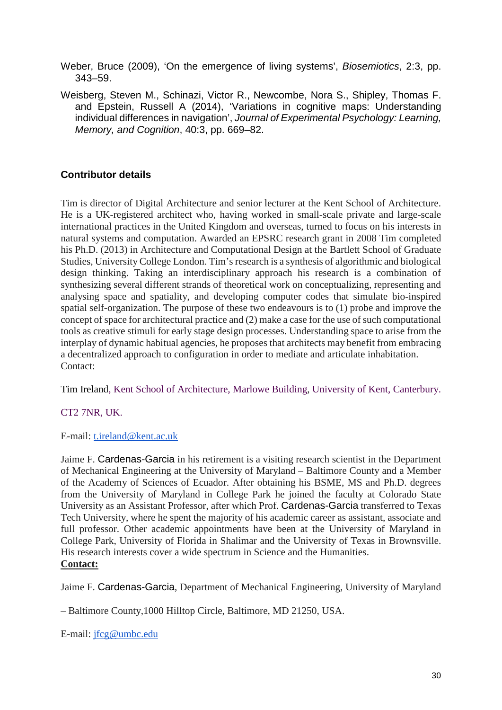Weber, Bruce (2009), 'On the emergence of living systems', Biosemiotics, 2:3, pp. 343–59.

Weisberg, Steven M., Schinazi, Victor R., Newcombe, Nora S., Shipley, Thomas F. and Epstein, Russell A (2014), 'Variations in cognitive maps: Understanding individual differences in navigation', Journal of Experimental Psychology: Learning, Memory, and Cognition, 40:3, pp. 669–82.

#### **Contributor details**

Tim is director of Digital Architecture and senior lecturer at the Kent School of Architecture. He is a UK-registered architect who, having worked in small-scale private and large-scale international practices in the United Kingdom and overseas, turned to focus on his interests in natural systems and computation. Awarded an EPSRC research grant in 2008 Tim completed his Ph.D. (2013) in Architecture and Computational Design at the Bartlett School of Graduate Studies, University College London. Tim's research is a synthesis of algorithmic and biological design thinking. Taking an interdisciplinary approach his research is a combination of synthesizing several different strands of theoretical work on conceptualizing, representing and analysing space and spatiality, and developing computer codes that simulate bio-inspired spatial self-organization. The purpose of these two endeavours is to (1) probe and improve the concept of space for architectural practice and (2) make a case for the use of such computational tools as creative stimuli for early stage design processes. Understanding space to arise from the interplay of dynamic habitual agencies, he proposes that architects may benefit from embracing a decentralized approach to configuration in order to mediate and articulate inhabitation. Contact:

Tim Ireland, Kent School of Architecture, Marlowe Building, University of Kent, Canterbury.

#### CT2 7NR, UK.

E-mail: [t.ireland@kent.ac.uk](mailto:t.ireland@kent.ac.uk)

Jaime F. Cardenas-Garcia in his retirement is a visiting research scientist in the Department of Mechanical Engineering at the University of Maryland – Baltimore County and a Member of the Academy of Sciences of Ecuador. After obtaining his BSME, MS and Ph.D. degrees from the University of Maryland in College Park he joined the faculty at Colorado State University as an Assistant Professor, after which Prof. Cardenas-Garcia transferred to Texas Tech University, where he spent the majority of his academic career as assistant, associate and full professor. Other academic appointments have been at the University of Maryland in College Park, University of Florida in Shalimar and the University of Texas in Brownsville. His research interests cover a wide spectrum in Science and the Humanities. **Contact:**

Jaime F. Cardenas-Garcia, Department of Mechanical Engineering, University of Maryland

– Baltimore County,1000 Hilltop Circle, Baltimore, MD 21250, USA.

E-mail: [jfcg@umbc.edu](mailto:jfcg@umbc.edu)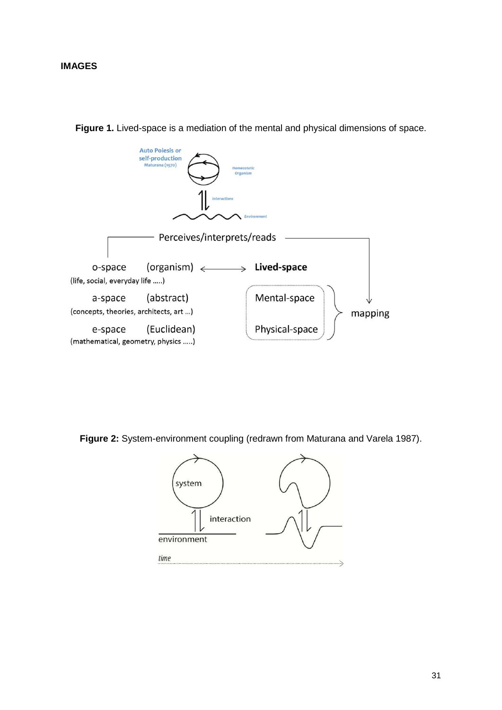

**Figure 1.** Lived-space is a mediation of the mental and physical dimensions of space.

**Figure 2:** System-environment coupling (redrawn from Maturana and Varela 1987).

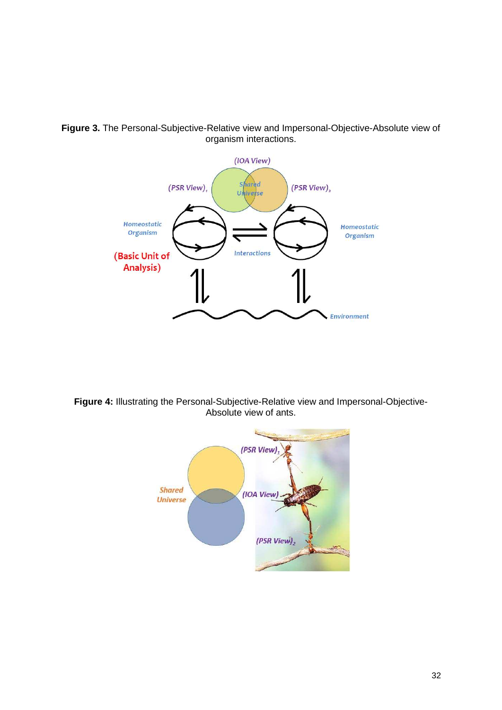

**Figure 3.** The Personal-Subjective-Relative view and Impersonal-Objective-Absolute view of organism interactions.

**Figure 4:** Illustrating the Personal-Subjective-Relative view and Impersonal-Objective-Absolute view of ants.

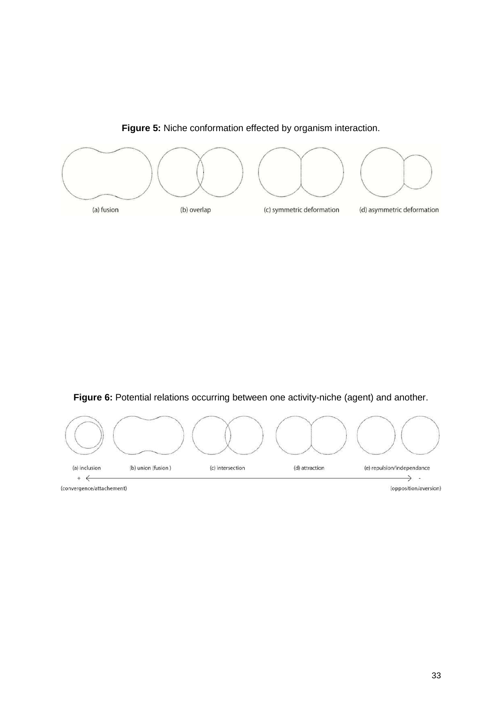<span id="page-33-0"></span>

**Figure 5:** Niche conformation effected by organism interaction.

**Figure 6:** Potential relations occurring between one activity-niche (agent) and another.



<span id="page-33-1"></span>(convergence/attachement)

(opposition/aversion)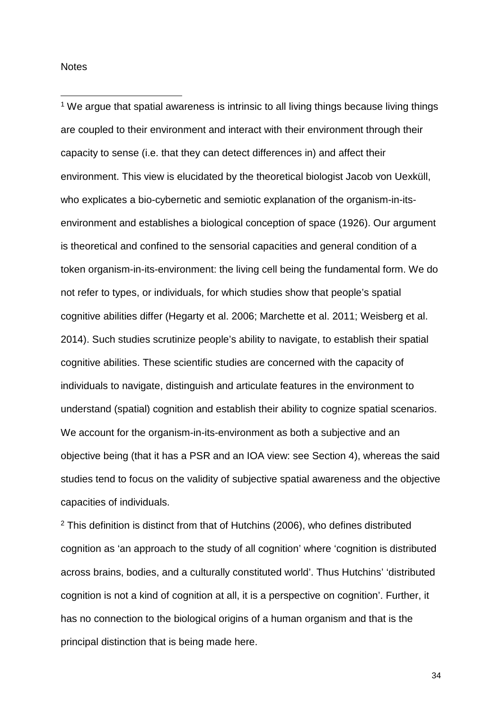<span id="page-34-0"></span>**Notes** 

-

<sup>1</sup> We argue that spatial awareness is intrinsic to all living things because living things are coupled to their environment and interact with their environment through their capacity to sense (i.e. that they can detect differences in) and affect their environment. This view is elucidated by the theoretical biologist Jacob von Uexküll, who explicates a bio-cybernetic and semiotic explanation of the organism-in-itsenvironment and establishes a biological conception of space (1926). Our argument is theoretical and confined to the sensorial capacities and general condition of a token organism-in-its-environment: the living cell being the fundamental form. We do not refer to types, or individuals, for which studies show that people's spatial cognitive abilities differ (Hegarty et al. 2006; Marchette et al. 2011; Weisberg et al. 2014). Such studies scrutinize people's ability to navigate, to establish their spatial cognitive abilities. These scientific studies are concerned with the capacity of individuals to navigate, distinguish and articulate features in the environment to understand (spatial) cognition and establish their ability to cognize spatial scenarios. We account for the organism-in-its-environment as both a subjective and an objective being (that it has a PSR and an IOA view: see Section 4), whereas the said studies tend to focus on the validity of subjective spatial awareness and the objective capacities of individuals.

 $2$  This definition is distinct from that of Hutchins (2006), who defines distributed cognition as 'an approach to the study of all cognition' where 'cognition is distributed across brains, bodies, and a culturally constituted world'. Thus Hutchins' 'distributed cognition is not a kind of cognition at all, it is a perspective on cognition'. Further, it has no connection to the biological origins of a human organism and that is the principal distinction that is being made here.